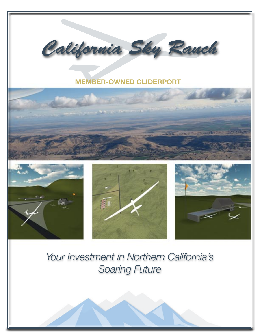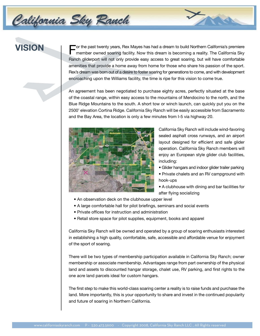# **VISION**

California Sky Rauch

For the past twenty years, Rex Mayes has had a dream to build Northern California's premiere member owned soaring facility. Now this dream is becoming a reality. The California Sky Ranch gliderport will not only provide easy access to great soaring, but will have comfortable amenities that provide a home away from home for those who share his passion of the sport. Rex's dream was born out of a desire to foster soaring for generations to come, and with development encroaching upon the Williams facility, the time is ripe for this vision to come true.

An agreement has been negotiated to purchase eighty acres, perfectly situated at the base of the coastal range, within easy access to the mountains of Mendocino to the north, and the Blue Ridge Mountains to the south. A short tow or winch launch, can quickly put you on the 2500' elevation Cortina Ridge. California Sky Ranch will be easily accessible from Sacramento and the Bay Area, the location is only a few minutes from I-5 via highway 20.



California Sky Ranch will include wind-favoring sealed asphalt cross runways, and an airport layout designed for efficient and safe glider operation. California Sky Ranch members will enjoy an European style glider club facilities, including:

- Glider hangars and indoor glider trailer parking
- Private chalets and an RV campground with hook-ups
- A clubhouse with dining and bar facilities for after flying socializing
- An observation deck on the clubhouse upper level
- A large comfortable hall for pilot briefings, seminars and social events
- Private offices for instruction and administration
- Retail store space for pilot supplies, equipment, books and apparel

California Sky Ranch will be owned and operated by a group of soaring enthusiasts interested in establishing a high quality, comfortable, safe, accessible and affordable venue for enjoyment of the sport of soaring.

There will be two types of membership participation available in California Sky Ranch; owner membership or associate membership. Advantages range from part ownership of the physical land and assets to discounted hangar storage, chalet use, RV parking, and first rights to the one acre land parcels ideal for custom hangars.

The first step to make this world-class soaring center a reality is to raise funds and purchase the land. More importantly, this is your opportunity to share and invest in the continued popularity and future of soaring in Northern California.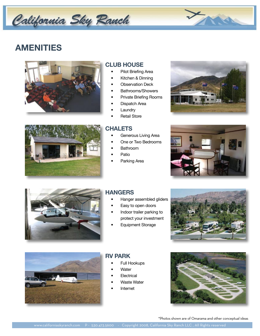# California Sky Ranch

# **AMENITIES**





### **CLUB HOUSE**

- Pilot Briefing Area
- Kitchen & Dinning
- **Observation Deck**
- Bathrooms/Showers
- Private Briefing Rooms
- Dispatch Area
- **Laundry**
- **Retail Store**

### **CHALETS**

- Generous Living Area
- One or Two Bedrooms
- Bathroom
- **Patio**
- Parking Area







### **HANGERS**

- Hanger assembled gliders
- Easy to open doors
- Indoor trailer parking to protect your investment
- Equipment Storage





### **RV PARK**

- Full Hookups
- **Water**
- **Electrical**
- Waste Water
- **Internet**



\*Photos shown are of Omarama and other conceptual ideas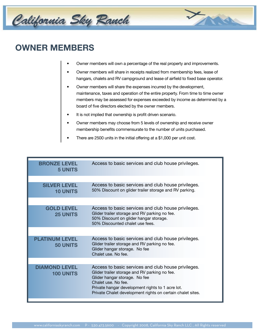

### **OWNER MEMBERS**

- Owner members will own a percentage of the real property and improvements.
- Owner members will share in receipts realized from membership fees, lease of hangars, chalets and RV campground and lease of airfield to fixed base operator.
- Owner members will share the expenses incurred by the development, maintenance, taxes and operation of the entire property. From time to time owner members may be assessed for expenses exceeded by income as determined by a board of five directors elected by the owner members.
- It is not implied that ownership is profit driven scenario.
- Owner members may choose from 5 levels of ownership and receive owner membership benefits commensurate to the number of units purchased.
- There are 2500 units in the initial offering at a \$1,000 per unit cost.

| <b>BRONZE LEVEL</b><br><b>5 UNITS</b>    | Access to basic services and club house privileges.                                                                                                                                                                                                                            |
|------------------------------------------|--------------------------------------------------------------------------------------------------------------------------------------------------------------------------------------------------------------------------------------------------------------------------------|
|                                          |                                                                                                                                                                                                                                                                                |
| SILVER LEVEL<br><b>10 UNITS</b>          | Access to basic services and club house privileges.<br>50% Discount on glider trailer storage and RV parking.                                                                                                                                                                  |
|                                          |                                                                                                                                                                                                                                                                                |
| <b>GOLD LEVEL</b><br><b>25 UNITS</b>     | Access to basic services and club house privileges.<br>Glider trailer storage and RV parking no fee.<br>50% Discount on glider hangar storage.<br>50% Discounted chalet use fees.                                                                                              |
|                                          |                                                                                                                                                                                                                                                                                |
| <b>PI ATINUM I FVFI</b><br>50 UNITS      | Access to basic services and club house privileges.<br>Glider trailer storage and RV parking no fee.<br>Glider hangar storage. No fee<br>Chalet use. No fee.                                                                                                                   |
|                                          |                                                                                                                                                                                                                                                                                |
| <b>DIAMOND LEVEL</b><br><b>100 UNITS</b> | Access to basic services and club house privileges.<br>Glider trailer storage and RV parking no fee.<br>Glider hangar storage. No fee<br>Chalet use. No fee.<br>Private hangar development rights to 1 acre lot.<br>Private Chalet development rights on certain chalet sites. |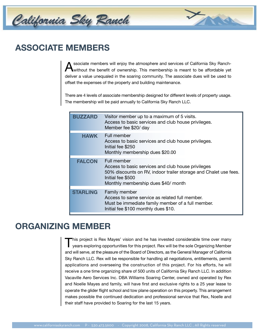

### **ASSOCIATE MEMBERS**

Associate members will enjoy the atmosphere and services of California Sky Ranch-<br>without the benefit of ownership. This membership is meant to be affordable yet deliver a value unequaled in the soaring community. The associate dues will be used to offset the expenses of the property and building maintenance.

There are 4 levels of associate membership designed for different levels of property usage. The membership will be paid annually to California Sky Ranch LLC.

| BUZZARD         | Visitor member up to a maximum of 5 visits.<br>Access to basic services and club house privileges.<br>Member fee \$20/ day                                                                        |
|-----------------|---------------------------------------------------------------------------------------------------------------------------------------------------------------------------------------------------|
| <b>HAWK</b>     | Full member<br>Access to basic services and club house privileges.<br>Initial fee \$250<br>Monthly membership dues \$20.00                                                                        |
| <b>FALCON</b>   | Full member<br>Access to basic services and club house privileges<br>50% discounts on RV, indoor trailer storage and Chalet use fees.<br>Initial fee \$500<br>Monthly membership dues \$40/ month |
| <b>STARLING</b> | Family member<br>Access to same service as related full member.<br>Must be immediate family member of a full member.<br>Initial fee \$100 monthly dues \$10.                                      |

### **ORGANIZING MEMBER**

This project is Rex Mayes' vision and he has invested considerable time over many<br>years exploring opportunities for this project. Rex will be the sole Organizing Member and will serve, at the pleasure of the Board of Directors, as the General Manager of California Sky Ranch LLC. Rex will be responsible for handling all negotiations, entitlements, permit applications and overseeing the construction of this project. For his efforts, he will receive a one time organizing share of 500 units of California Sky Ranch LLC. In addition Vacaville Aero Services Inc. DBA Williams Soaring Center, owned and operated by Rex and Noelle Mayes and family, will have first and exclusive rights to a 25 year lease to operate the glider flight school and tow plane operation on this property. This arrangement makes possible the continued dedication and professional service that Rex, Noelle and their staff have provided to Soaring for the last 15 years.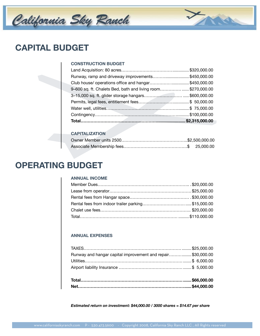

### **CAPITAL BUDGET**

#### **CONSTRUCTION BUDGET**

| Runway, ramp and driveway improvements\$450,000.00          |  |
|-------------------------------------------------------------|--|
| Club house/ operations office and hangar\$450,000.00        |  |
| 9-600 sq. ft. Chalets Bed, bath and living room\$270,000.00 |  |
| 3-15,000 sq. ft. glider storage hangars\$600,000.00         |  |
|                                                             |  |
|                                                             |  |
|                                                             |  |
|                                                             |  |

#### **CAPITALIZATION**

### **OPERATING BUDGET**

#### **ANNUAL INCOME**

#### **ANNUAL EXPENSES**

| Runway and hangar capital improvement and repair\$30,000.00 |  |
|-------------------------------------------------------------|--|
|                                                             |  |

*Estimated return on investment: \$44,000.00 / 3000 shares = \$14.67 per share*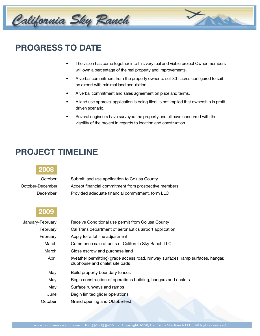

# **PROGRESS TO DATE**

- The vision has come together into this very real and viable project Owner members will own a percentage of the real property and improvements.
- A verbal commitment from the property owner to sell 80+ acres configured to suit an airport with minimal land acquisition.
- A verbal commitment and sales agreement on price and terms.
- A land use approval application is being filed is not implied that ownership is profit driven scenario.
- Several engineers have surveyed the property and all have concurred with the viability of the project in regards to location and construction.

# **PROJECT TIMELINE**



October | Submit land use application to Colusa County October-December | Accept financial commitment from prospective members December | Provided adequate financial commitment, form LLC

### **2009**

| January-February | Receive Conditional use permit from Colusa County                                                                 |
|------------------|-------------------------------------------------------------------------------------------------------------------|
| February         | Cal Trans department of aeronautics airport application                                                           |
| February         | Apply for a lot line adjustment                                                                                   |
| March            | Commence sale of units of California Sky Ranch LLC                                                                |
| March            | Close escrow and purchase land                                                                                    |
| April            | (weather permitting) grade access road, runway surfaces, ramp surfaces, hangar,<br>clubhouse and chalet site pads |
| May              | Build property boundary fences                                                                                    |
| May              | Begin construction of operations building, hangars and chalets                                                    |
| May              | Surface runways and ramps                                                                                         |
| June             | Begin limited glider operations                                                                                   |
| October          | Grand opening and Oktoberfest                                                                                     |